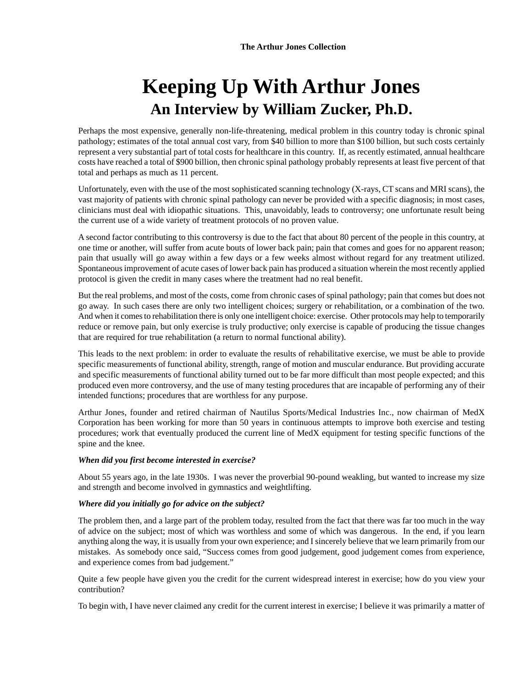# **Keeping Up With Arthur Jones An Interview by William Zucker, Ph.D.**

Perhaps the most expensive, generally non-life-threatening, medical problem in this country today is chronic spinal pathology; estimates of the total annual cost vary, from \$40 billion to more than \$100 billion, but such costs certainly represent a very substantial part of total costs for healthcare in this country. If, as recently estimated, annual healthcare costs have reached a total of \$900 billion, then chronic spinal pathology probably represents at least five percent of that total and perhaps as much as 11 percent.

Unfortunately, even with the use of the most sophisticated scanning technology (X-rays, CT scans and MRI scans), the vast majority of patients with chronic spinal pathology can never be provided with a specific diagnosis; in most cases, clinicians must deal with idiopathic situations. This, unavoidably, leads to controversy; one unfortunate result being the current use of a wide variety of treatment protocols of no proven value.

A second factor contributing to this controversy is due to the fact that about 80 percent of the people in this country, at one time or another, will suffer from acute bouts of lower back pain; pain that comes and goes for no apparent reason; pain that usually will go away within a few days or a few weeks almost without regard for any treatment utilized. Spontaneous improvement of acute cases of lower back pain has produced a situation wherein the most recently applied protocol is given the credit in many cases where the treatment had no real benefit.

But the real problems, and most of the costs, come from chronic cases of spinal pathology; pain that comes but does not go away. In such cases there are only two intelligent choices; surgery or rehabilitation, or a combination of the two. And when it comes to rehabilitation there is only one intelligent choice: exercise. Other protocols may help to temporarily reduce or remove pain, but only exercise is truly productive; only exercise is capable of producing the tissue changes that are required for true rehabilitation (a return to normal functional ability).

This leads to the next problem: in order to evaluate the results of rehabilitative exercise, we must be able to provide specific measurements of functional ability, strength, range of motion and muscular endurance. But providing accurate and specific measurements of functional ability turned out to be far more difficult than most people expected; and this produced even more controversy, and the use of many testing procedures that are incapable of performing any of their intended functions; procedures that are worthless for any purpose.

Arthur Jones, founder and retired chairman of Nautilus Sports/Medical Industries Inc., now chairman of MedX Corporation has been working for more than 50 years in continuous attempts to improve both exercise and testing procedures; work that eventually produced the current line of MedX equipment for testing specific functions of the spine and the knee.

# *When did you first become interested in exercise?*

About 55 years ago, in the late 1930s. I was never the proverbial 90-pound weakling, but wanted to increase my size and strength and become involved in gymnastics and weightlifting.

# *Where did you initially go for advice on the subject?*

The problem then, and a large part of the problem today, resulted from the fact that there was far too much in the way of advice on the subject; most of which was worthless and some of which was dangerous. In the end, if you learn anything along the way, it is usually from your own experience; and I sincerely believe that we learn primarily from our mistakes. As somebody once said, "Success comes from good judgement, good judgement comes from experience, and experience comes from bad judgement."

Quite a few people have given you the credit for the current widespread interest in exercise; how do you view your contribution?

To begin with, I have never claimed any credit for the current interest in exercise; I believe it was primarily a matter of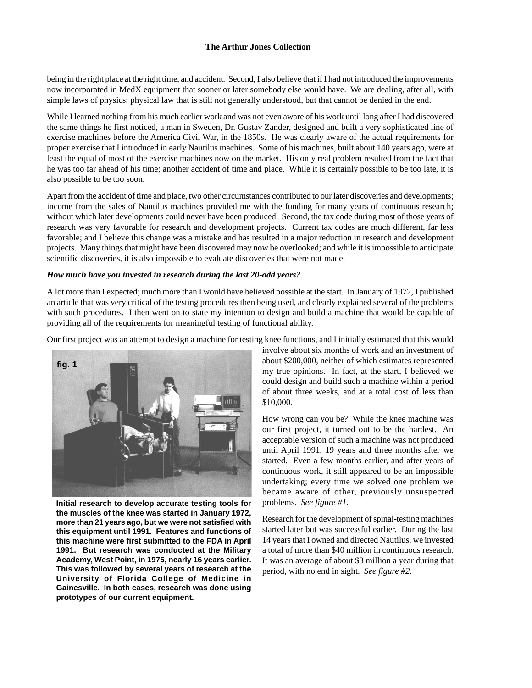being in the right place at the right time, and accident. Second, I also believe that if I had not introduced the improvements now incorporated in MedX equipment that sooner or later somebody else would have. We are dealing, after all, with simple laws of physics; physical law that is still not generally understood, but that cannot be denied in the end.

While I learned nothing from his much earlier work and was not even aware of his work until long after I had discovered the same things he first noticed, a man in Sweden, Dr. Gustav Zander, designed and built a very sophisticated line of exercise machines before the America Civil War, in the 1850s. He was clearly aware of the actual requirements for proper exercise that I introduced in early Nautilus machines. Some of his machines, built about 140 years ago, were at least the equal of most of the exercise machines now on the market. His only real problem resulted from the fact that he was too far ahead of his time; another accident of time and place. While it is certainly possible to be too late, it is also possible to be too soon.

Apart from the accident of time and place, two other circumstances contributed to our later discoveries and developments; income from the sales of Nautilus machines provided me with the funding for many years of continuous research; without which later developments could never have been produced. Second, the tax code during most of those years of research was very favorable for research and development projects. Current tax codes are much different, far less favorable; and I believe this change was a mistake and has resulted in a major reduction in research and development projects. Many things that might have been discovered may now be overlooked; and while it is impossible to anticipate scientific discoveries, it is also impossible to evaluate discoveries that were not made.

#### *How much have you invested in research during the last 20-odd years?*

A lot more than I expected; much more than I would have believed possible at the start. In January of 1972, I published an article that was very critical of the testing procedures then being used, and clearly explained several of the problems with such procedures. I then went on to state my intention to design and build a machine that would be capable of providing all of the requirements for meaningful testing of functional ability.

Our first project was an attempt to design a machine for testing knee functions, and I initially estimated that this would



**Initial research to develop accurate testing tools for the muscles of the knee was started in January 1972, more than 21 years ago, but we were not satisfied with this equipment until 1991. Features and functions of this machine were first submitted to the FDA in April 1991. But research was conducted at the Military Academy, West Point, in 1975, nearly 16 years earlier. This was followed by several years of research at the University of Florida College of Medicine in Gainesville. In both cases, research was done using prototypes of our current equipment.**

involve about six months of work and an investment of about \$200,000, neither of which estimates represented my true opinions. In fact, at the start, I believed we could design and build such a machine within a period of about three weeks, and at a total cost of less than \$10,000.

How wrong can you be? While the knee machine was our first project, it turned out to be the hardest. An acceptable version of such a machine was not produced until April 1991, 19 years and three months after we started. Even a few months earlier, and after years of continuous work, it still appeared to be an impossible undertaking; every time we solved one problem we became aware of other, previously unsuspected problems. *See figure #1.*

Research for the development of spinal-testing machines started later but was successful earlier. During the last 14 years that I owned and directed Nautilus, we invested a total of more than \$40 million in continuous research. It was an average of about \$3 million a year during that period, with no end in sight. *See figure #2.*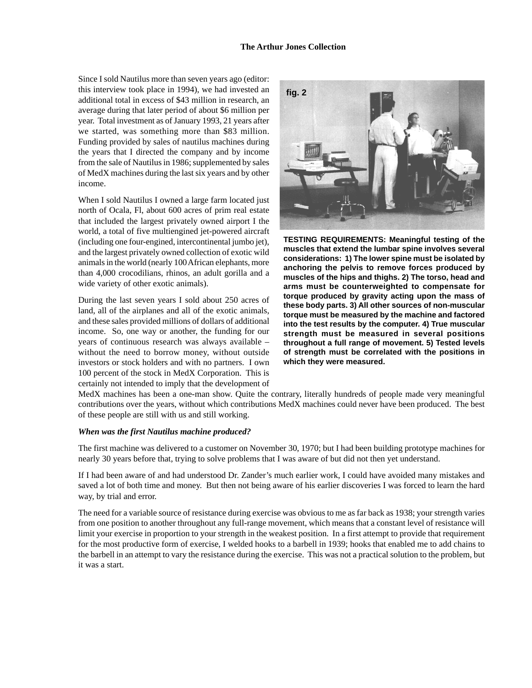Since I sold Nautilus more than seven years ago (editor: this interview took place in 1994), we had invested an additional total in excess of \$43 million in research, an average during that later period of about \$6 million per year. Total investment as of January 1993, 21 years after we started, was something more than \$83 million. Funding provided by sales of nautilus machines during the years that I directed the company and by income from the sale of Nautilus in 1986; supplemented by sales of MedX machines during the last six years and by other income.

When I sold Nautilus I owned a large farm located just north of Ocala, Fl, about 600 acres of prim real estate that included the largest privately owned airport I the world, a total of five multiengined jet-powered aircraft (including one four-engined, intercontinental jumbo jet), and the largest privately owned collection of exotic wild animals in the world (nearly 100 African elephants, more than 4,000 crocodilians, rhinos, an adult gorilla and a wide variety of other exotic animals).

During the last seven years I sold about 250 acres of land, all of the airplanes and all of the exotic animals, and these sales provided millions of dollars of additional income. So, one way or another, the funding for our years of continuous research was always available – without the need to borrow money, without outside investors or stock holders and with no partners. I own 100 percent of the stock in MedX Corporation. This is certainly not intended to imply that the development of



**TESTING REQUIREMENTS: Meaningful testing of the muscles that extend the lumbar spine involves several considerations: 1) The lower spine must be isolated by anchoring the pelvis to remove forces produced by muscles of the hips and thighs. 2) The torso, head and arms must be counterweighted to compensate for torque produced by gravity acting upon the mass of these body parts. 3) All other sources of non-muscular torque must be measured by the machine and factored into the test results by the computer. 4) True muscular strength must be measured in several positions throughout a full range of movement. 5) Tested levels of strength must be correlated with the positions in which they were measured.**

MedX machines has been a one-man show. Quite the contrary, literally hundreds of people made very meaningful contributions over the years, without which contributions MedX machines could never have been produced. The best of these people are still with us and still working.

#### *When was the first Nautilus machine produced?*

The first machine was delivered to a customer on November 30, 1970; but I had been building prototype machines for nearly 30 years before that, trying to solve problems that I was aware of but did not then yet understand.

If I had been aware of and had understood Dr. Zander's much earlier work, I could have avoided many mistakes and saved a lot of both time and money. But then not being aware of his earlier discoveries I was forced to learn the hard way, by trial and error.

The need for a variable source of resistance during exercise was obvious to me as far back as 1938; your strength varies from one position to another throughout any full-range movement, which means that a constant level of resistance will limit your exercise in proportion to your strength in the weakest position. In a first attempt to provide that requirement for the most productive form of exercise, I welded hooks to a barbell in 1939; hooks that enabled me to add chains to the barbell in an attempt to vary the resistance during the exercise. This was not a practical solution to the problem, but it was a start.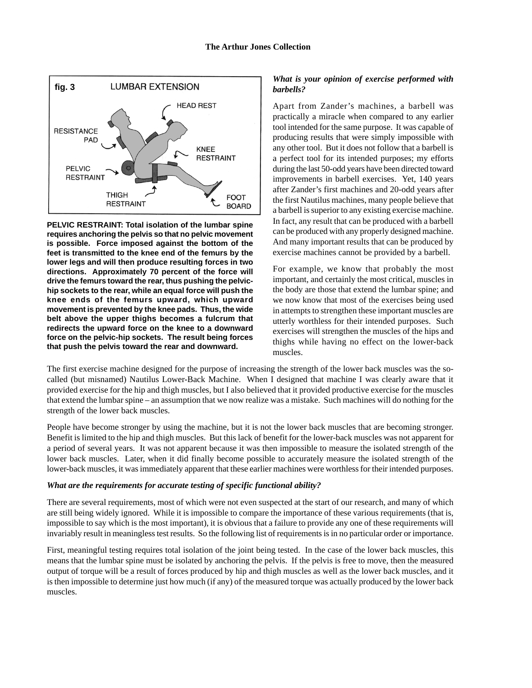

**PELVIC RESTRAINT: Total isolation of the lumbar spine requires anchoring the pelvis so that no pelvic movement is possible. Force imposed against the bottom of the feet is transmitted to the knee end of the femurs by the lower legs and will then produce resulting forces in two directions. Approximately 70 percent of the force will drive the femurs toward the rear, thus pushing the pelvichip sockets to the rear, while an equal force will push the knee ends of the femurs upward, which upward movement is prevented by the knee pads. Thus, the wide belt above the upper thighs becomes a fulcrum that redirects the upward force on the knee to a downward force on the pelvic-hip sockets. The result being forces that push the pelvis toward the rear and downward.**

# *What is your opinion of exercise performed with barbells?*

Apart from Zander's machines, a barbell was practically a miracle when compared to any earlier tool intended for the same purpose. It was capable of producing results that were simply impossible with any other tool. But it does not follow that a barbell is a perfect tool for its intended purposes; my efforts during the last 50-odd years have been directed toward improvements in barbell exercises. Yet, 140 years after Zander's first machines and 20-odd years after the first Nautilus machines, many people believe that a barbell is superior to any existing exercise machine. In fact, any result that can be produced with a barbell can be produced with any properly designed machine. And many important results that can be produced by exercise machines cannot be provided by a barbell.

For example, we know that probably the most important, and certainly the most critical, muscles in the body are those that extend the lumbar spine; and we now know that most of the exercises being used in attempts to strengthen these important muscles are utterly worthless for their intended purposes. Such exercises will strengthen the muscles of the hips and thighs while having no effect on the lower-back muscles.

The first exercise machine designed for the purpose of increasing the strength of the lower back muscles was the socalled (but misnamed) Nautilus Lower-Back Machine. When I designed that machine I was clearly aware that it provided exercise for the hip and thigh muscles, but I also believed that it provided productive exercise for the muscles that extend the lumbar spine – an assumption that we now realize was a mistake. Such machines will do nothing for the strength of the lower back muscles.

People have become stronger by using the machine, but it is not the lower back muscles that are becoming stronger. Benefit is limited to the hip and thigh muscles. But this lack of benefit for the lower-back muscles was not apparent for a period of several years. It was not apparent because it was then impossible to measure the isolated strength of the lower back muscles. Later, when it did finally become possible to accurately measure the isolated strength of the lower-back muscles, it was immediately apparent that these earlier machines were worthless for their intended purposes.

#### *What are the requirements for accurate testing of specific functional ability?*

There are several requirements, most of which were not even suspected at the start of our research, and many of which are still being widely ignored. While it is impossible to compare the importance of these various requirements (that is, impossible to say which is the most important), it is obvious that a failure to provide any one of these requirements will invariably result in meaningless test results. So the following list of requirements is in no particular order or importance.

First, meaningful testing requires total isolation of the joint being tested. In the case of the lower back muscles, this means that the lumbar spine must be isolated by anchoring the pelvis. If the pelvis is free to move, then the measured output of torque will be a result of forces produced by hip and thigh muscles as well as the lower back muscles, and it is then impossible to determine just how much (if any) of the measured torque was actually produced by the lower back muscles.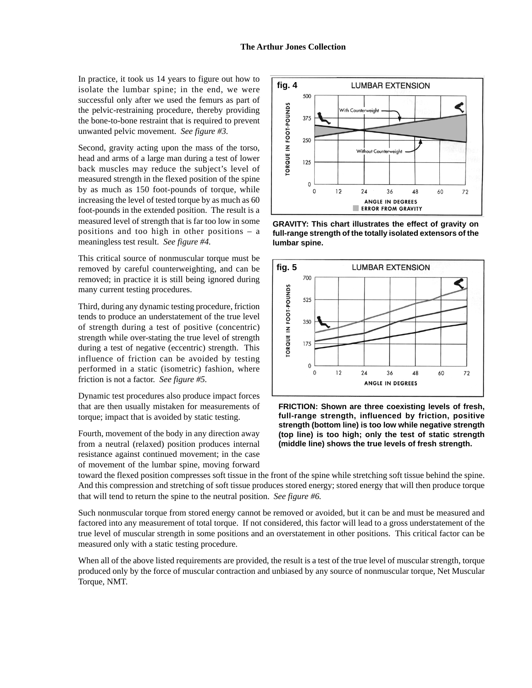In practice, it took us 14 years to figure out how to isolate the lumbar spine; in the end, we were successful only after we used the femurs as part of the pelvic-restraining procedure, thereby providing the bone-to-bone restraint that is required to prevent unwanted pelvic movement. *See figure #3.*

Second, gravity acting upon the mass of the torso, head and arms of a large man during a test of lower back muscles may reduce the subject's level of measured strength in the flexed position of the spine by as much as 150 foot-pounds of torque, while increasing the level of tested torque by as much as 60 foot-pounds in the extended position. The result is a measured level of strength that is far too low in some positions and too high in other positions – a meaningless test result. *See figure #4.*

This critical source of nonmuscular torque must be removed by careful counterweighting, and can be removed; in practice it is still being ignored during many current testing procedures.

Third, during any dynamic testing procedure, friction tends to produce an understatement of the true level of strength during a test of positive (concentric) strength while over-stating the true level of strength during a test of negative (eccentric) strength. This influence of friction can be avoided by testing performed in a static (isometric) fashion, where friction is not a factor. *See figure #5.*

Dynamic test procedures also produce impact forces that are then usually mistaken for measurements of torque; impact that is avoided by static testing.

Fourth, movement of the body in any direction away from a neutral (relaxed) position produces internal resistance against continued movement; in the case of movement of the lumbar spine, moving forward



**GRAVITY: This chart illustrates the effect of gravity on full-range strength of the totally isolated extensors of the lumbar spine.**



**FRICTION: Shown are three coexisting levels of fresh, full-range strength, influenced by friction, positive strength (bottom line) is too low while negative strength (top line) is too high; only the test of static strength (middle line) shows the true levels of fresh strength.**

toward the flexed position compresses soft tissue in the front of the spine while stretching soft tissue behind the spine. And this compression and stretching of soft tissue produces stored energy; stored energy that will then produce torque that will tend to return the spine to the neutral position. *See figure #6.*

Such nonmuscular torque from stored energy cannot be removed or avoided, but it can be and must be measured and factored into any measurement of total torque. If not considered, this factor will lead to a gross understatement of the true level of muscular strength in some positions and an overstatement in other positions. This critical factor can be measured only with a static testing procedure.

When all of the above listed requirements are provided, the result is a test of the true level of muscular strength, torque produced only by the force of muscular contraction and unbiased by any source of nonmuscular torque, Net Muscular Torque, NMT.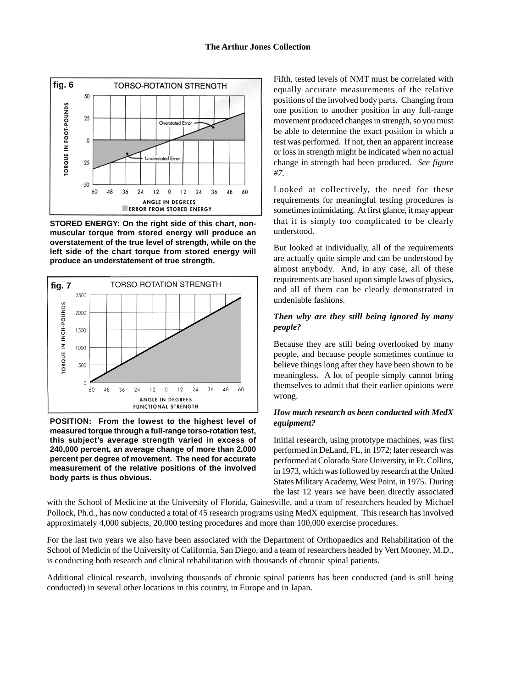

**STORED ENERGY: On the right side of this chart, nonmuscular torque from stored energy will produce an overstatement of the true level of strength, while on the left side of the chart torque from stored energy will produce an understatement of true strength.**



**POSITION: From the lowest to the highest level of measured torque through a full-range torso-rotation test, this subject's average strength varied in excess of 240,000 percent, an average change of more than 2,000 percent per degree of movement. The need for accurate measurement of the relative positions of the involved body parts is thus obvious.**

Fifth, tested levels of NMT must be correlated with equally accurate measurements of the relative positions of the involved body parts. Changing from one position to another position in any full-range movement produced changes in strength, so you must be able to determine the exact position in which a test was performed. If not, then an apparent increase or loss in strength might be indicated when no actual change in strength had been produced. *See figure #7.*

Looked at collectively, the need for these requirements for meaningful testing procedures is sometimes intimidating. At first glance, it may appear that it is simply too complicated to be clearly understood.

But looked at individually, all of the requirements are actually quite simple and can be understood by almost anybody. And, in any case, all of these requirements are based upon simple laws of physics, and all of them can be clearly demonstrated in undeniable fashions.

## *Then why are they still being ignored by many people?*

Because they are still being overlooked by many people, and because people sometimes continue to believe things long after they have been shown to be meaningless. A lot of people simply cannot bring themselves to admit that their earlier opinions were wrong.

## *How much research as been conducted with MedX equipment?*

Initial research, using prototype machines, was first performed in DeLand, FL, in 1972; later research was performed at Colorado State University, in Ft. Collins, in 1973, which was followed by research at the United States Military Academy, West Point, in 1975. During the last 12 years we have been directly associated

with the School of Medicine at the University of Florida, Gainesville, and a team of researchers headed by Michael Pollock, Ph.d., has now conducted a total of 45 research programs using MedX equipment. This research has involved approximately 4,000 subjects, 20,000 testing procedures and more than 100,000 exercise procedures.

For the last two years we also have been associated with the Department of Orthopaedics and Rehabilitation of the School of Medicin of the University of California, San Diego, and a team of researchers headed by Vert Mooney, M.D., is conducting both research and clinical rehabilitation with thousands of chronic spinal patients.

Additional clinical research, involving thousands of chronic spinal patients has been conducted (and is still being conducted) in several other locations in this country, in Europe and in Japan.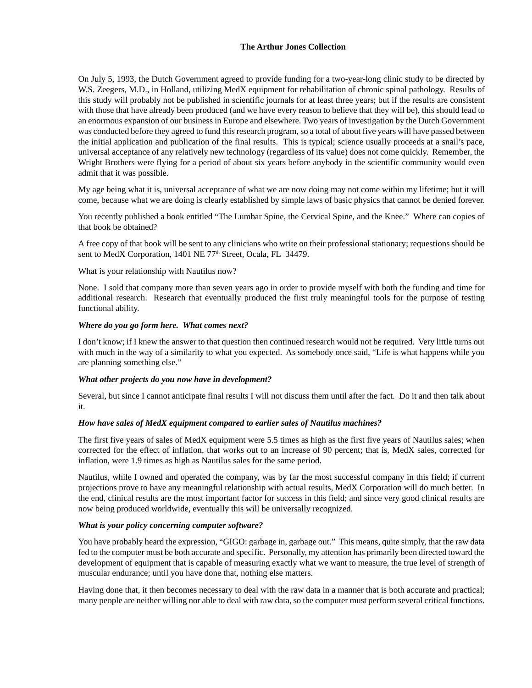On July 5, 1993, the Dutch Government agreed to provide funding for a two-year-long clinic study to be directed by W.S. Zeegers, M.D., in Holland, utilizing MedX equipment for rehabilitation of chronic spinal pathology. Results of this study will probably not be published in scientific journals for at least three years; but if the results are consistent with those that have already been produced (and we have every reason to believe that they will be), this should lead to an enormous expansion of our business in Europe and elsewhere. Two years of investigation by the Dutch Government was conducted before they agreed to fund this research program, so a total of about five years will have passed between the initial application and publication of the final results. This is typical; science usually proceeds at a snail's pace, universal acceptance of any relatively new technology (regardless of its value) does not come quickly. Remember, the Wright Brothers were flying for a period of about six years before anybody in the scientific community would even admit that it was possible.

My age being what it is, universal acceptance of what we are now doing may not come within my lifetime; but it will come, because what we are doing is clearly established by simple laws of basic physics that cannot be denied forever.

You recently published a book entitled "The Lumbar Spine, the Cervical Spine, and the Knee." Where can copies of that book be obtained?

A free copy of that book will be sent to any clinicians who write on their professional stationary; requestions should be sent to MedX Corporation, 1401 NE 77<sup>th</sup> Street, Ocala, FL 34479.

What is your relationship with Nautilus now?

None. I sold that company more than seven years ago in order to provide myself with both the funding and time for additional research. Research that eventually produced the first truly meaningful tools for the purpose of testing functional ability.

## *Where do you go form here. What comes next?*

I don't know; if I knew the answer to that question then continued research would not be required. Very little turns out with much in the way of a similarity to what you expected. As somebody once said, "Life is what happens while you are planning something else."

#### *What other projects do you now have in development?*

Several, but since I cannot anticipate final results I will not discuss them until after the fact. Do it and then talk about it.

#### *How have sales of MedX equipment compared to earlier sales of Nautilus machines?*

The first five years of sales of MedX equipment were 5.5 times as high as the first five years of Nautilus sales; when corrected for the effect of inflation, that works out to an increase of 90 percent; that is, MedX sales, corrected for inflation, were 1.9 times as high as Nautilus sales for the same period.

Nautilus, while I owned and operated the company, was by far the most successful company in this field; if current projections prove to have any meaningful relationship with actual results, MedX Corporation will do much better. In the end, clinical results are the most important factor for success in this field; and since very good clinical results are now being produced worldwide, eventually this will be universally recognized.

# *What is your policy concerning computer software?*

You have probably heard the expression, "GIGO: garbage in, garbage out." This means, quite simply, that the raw data fed to the computer must be both accurate and specific. Personally, my attention has primarily been directed toward the development of equipment that is capable of measuring exactly what we want to measure, the true level of strength of muscular endurance; until you have done that, nothing else matters.

Having done that, it then becomes necessary to deal with the raw data in a manner that is both accurate and practical; many people are neither willing nor able to deal with raw data, so the computer must perform several critical functions.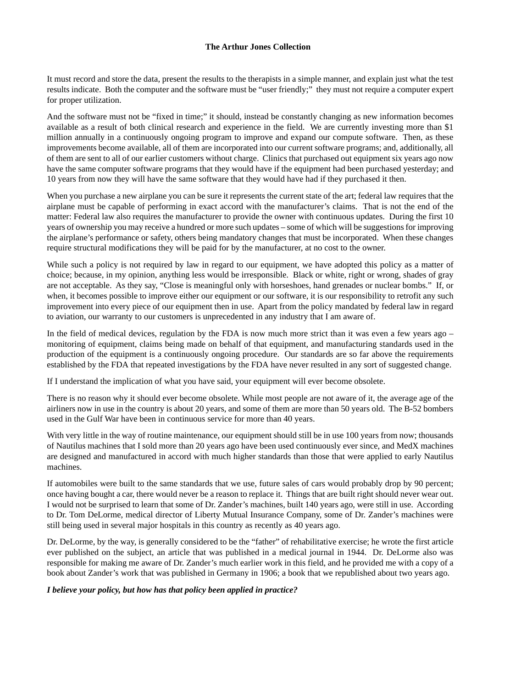It must record and store the data, present the results to the therapists in a simple manner, and explain just what the test results indicate. Both the computer and the software must be "user friendly;" they must not require a computer expert for proper utilization.

And the software must not be "fixed in time;" it should, instead be constantly changing as new information becomes available as a result of both clinical research and experience in the field. We are currently investing more than \$1 million annually in a continuously ongoing program to improve and expand our compute software. Then, as these improvements become available, all of them are incorporated into our current software programs; and, additionally, all of them are sent to all of our earlier customers without charge. Clinics that purchased out equipment six years ago now have the same computer software programs that they would have if the equipment had been purchased yesterday; and 10 years from now they will have the same software that they would have had if they purchased it then.

When you purchase a new airplane you can be sure it represents the current state of the art; federal law requires that the airplane must be capable of performing in exact accord with the manufacturer's claims. That is not the end of the matter: Federal law also requires the manufacturer to provide the owner with continuous updates. During the first 10 years of ownership you may receive a hundred or more such updates – some of which will be suggestions for improving the airplane's performance or safety, others being mandatory changes that must be incorporated. When these changes require structural modifications they will be paid for by the manufacturer, at no cost to the owner.

While such a policy is not required by law in regard to our equipment, we have adopted this policy as a matter of choice; because, in my opinion, anything less would be irresponsible. Black or white, right or wrong, shades of gray are not acceptable. As they say, "Close is meaningful only with horseshoes, hand grenades or nuclear bombs." If, or when, it becomes possible to improve either our equipment or our software, it is our responsibility to retrofit any such improvement into every piece of our equipment then in use. Apart from the policy mandated by federal law in regard to aviation, our warranty to our customers is unprecedented in any industry that I am aware of.

In the field of medical devices, regulation by the FDA is now much more strict than it was even a few years ago – monitoring of equipment, claims being made on behalf of that equipment, and manufacturing standards used in the production of the equipment is a continuously ongoing procedure. Our standards are so far above the requirements established by the FDA that repeated investigations by the FDA have never resulted in any sort of suggested change.

If I understand the implication of what you have said, your equipment will ever become obsolete.

There is no reason why it should ever become obsolete. While most people are not aware of it, the average age of the airliners now in use in the country is about 20 years, and some of them are more than 50 years old. The B-52 bombers used in the Gulf War have been in continuous service for more than 40 years.

With very little in the way of routine maintenance, our equipment should still be in use 100 years from now; thousands of Nautilus machines that I sold more than 20 years ago have been used continuously ever since, and MedX machines are designed and manufactured in accord with much higher standards than those that were applied to early Nautilus machines.

If automobiles were built to the same standards that we use, future sales of cars would probably drop by 90 percent; once having bought a car, there would never be a reason to replace it. Things that are built right should never wear out. I would not be surprised to learn that some of Dr. Zander's machines, built 140 years ago, were still in use. According to Dr. Tom DeLorme, medical director of Liberty Mutual Insurance Company, some of Dr. Zander's machines were still being used in several major hospitals in this country as recently as 40 years ago.

Dr. DeLorme, by the way, is generally considered to be the "father" of rehabilitative exercise; he wrote the first article ever published on the subject, an article that was published in a medical journal in 1944. Dr. DeLorme also was responsible for making me aware of Dr. Zander's much earlier work in this field, and he provided me with a copy of a book about Zander's work that was published in Germany in 1906; a book that we republished about two years ago.

#### *I believe your policy, but how has that policy been applied in practice?*